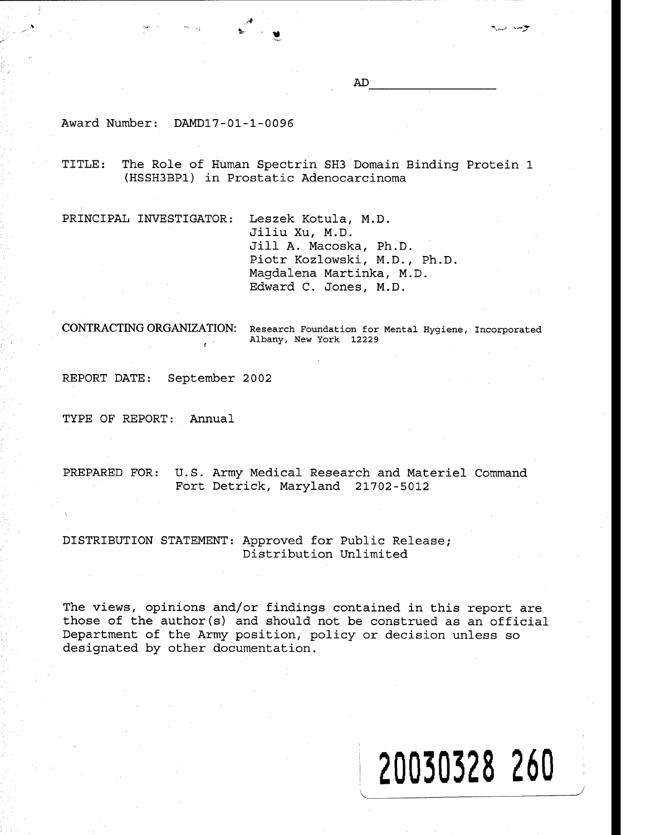Award Number: DAMD17-01-1-0096

TITLE: The Role of Human Spectrin SH3 Domain Binding Protein 1 (HSSH3BP1) in Prostatic Adenocarcinoma

PRINCIPAL INVESTIGATOR: Leszek Kotula, M.D.

Jiliu Xu, M.D. Jill A. Macoska, Ph.D. Piotr Kozlowski, M.D., Ph.D. Magdalena Martinka, M.D. Edward C. Jones, M.D.

**CONTRACTING ORGANIZATION:** Research Foundation for Mental Hygiene, Incorporated Albany, New York 12229

**20030328 260**

REPORT DATE: September 2002

TYPE OF REPORT: Annual

PREPARED FOR: U.S. Army Medical Research and Materiel Command Fort Detrick, Maryland 21702-5012

# DISTRIBUTION STATEMENT: Approved for Public Release; Distribution Unlimited

The views, opinions and/or findings contained in this report are those of the author(s) and should not be construed as an official Department of the Army position, policy or decision unless so designated by other documentation.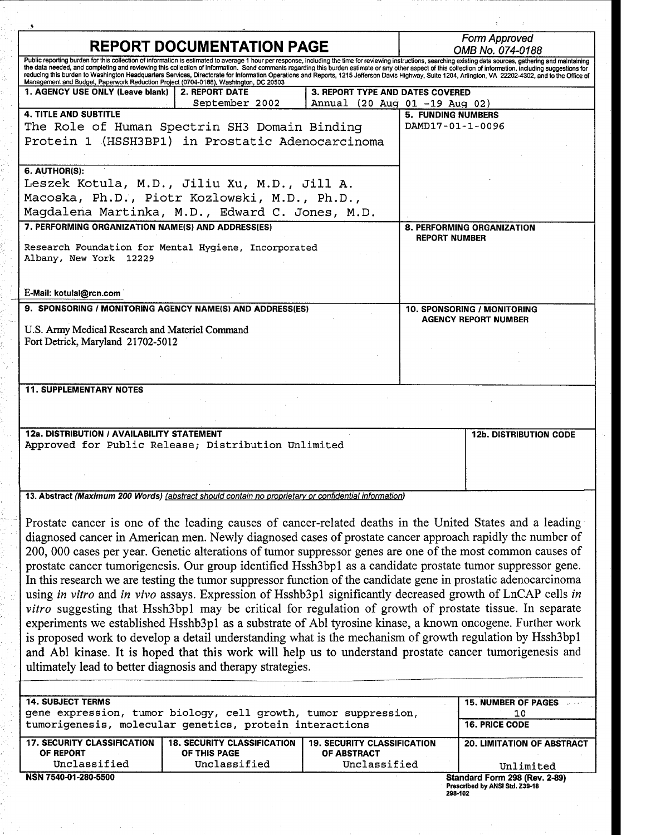| <b>REPORT DOCUMENTATION PAGE</b>                                                                                                                                                                                                                                                                                                                                                                                                                                                                                                                                                                                                           |                                         |                                    | Form Approved<br>OMB No. 074-0188             |                                                                 |  |
|--------------------------------------------------------------------------------------------------------------------------------------------------------------------------------------------------------------------------------------------------------------------------------------------------------------------------------------------------------------------------------------------------------------------------------------------------------------------------------------------------------------------------------------------------------------------------------------------------------------------------------------------|-----------------------------------------|------------------------------------|-----------------------------------------------|-----------------------------------------------------------------|--|
| Public reporting burden for this collection of information is estimated to average 1 hour per response, including the time for reviewing instructions, searching existing data sources, gathering and maintaining<br>the data needed, and completing and reviewing this collection of information. Send comments regarding this burden estimate or any other aspect of this collection of information, including suggestions for<br>reducing this burden to Washington Headquarters Services, Directorate for Information Operations and Reports, 1215 Jefferson Davis Highway, Suite 1204, Arlington, VA 22202-4302, and to the Office of |                                         |                                    |                                               |                                                                 |  |
| Management and Budget, Paperwork Reduction Project (0704-0188), Washington, DC 20503<br>1. AGENCY USE ONLY (Leave blank)                                                                                                                                                                                                                                                                                                                                                                                                                                                                                                                   | <b>2. REPORT DATE</b><br>September 2002 | 3. REPORT TYPE AND DATES COVERED   |                                               |                                                                 |  |
| <b>4. TITLE AND SUBTITLE</b>                                                                                                                                                                                                                                                                                                                                                                                                                                                                                                                                                                                                               |                                         | Annual (20 Aug 01 -19 Aug 02)      |                                               |                                                                 |  |
|                                                                                                                                                                                                                                                                                                                                                                                                                                                                                                                                                                                                                                            |                                         |                                    | <b>5. FUNDING NUMBERS</b><br>DAMD17-01-1-0096 |                                                                 |  |
| The Role of Human Spectrin SH3 Domain Binding<br>Protein 1 (HSSH3BP1) in Prostatic Adenocarcinoma                                                                                                                                                                                                                                                                                                                                                                                                                                                                                                                                          |                                         |                                    |                                               |                                                                 |  |
|                                                                                                                                                                                                                                                                                                                                                                                                                                                                                                                                                                                                                                            |                                         |                                    |                                               |                                                                 |  |
| 6. AUTHOR(S):                                                                                                                                                                                                                                                                                                                                                                                                                                                                                                                                                                                                                              |                                         |                                    |                                               |                                                                 |  |
| Leszek Kotula, M.D., Jiliu Xu, M.D., Jill A.                                                                                                                                                                                                                                                                                                                                                                                                                                                                                                                                                                                               |                                         |                                    |                                               |                                                                 |  |
| Macoska, Ph.D., Piotr Kozlowski, M.D., Ph.D.,                                                                                                                                                                                                                                                                                                                                                                                                                                                                                                                                                                                              |                                         |                                    |                                               |                                                                 |  |
| Magdalena Martinka, M.D., Edward C. Jones, M.D.                                                                                                                                                                                                                                                                                                                                                                                                                                                                                                                                                                                            |                                         |                                    |                                               |                                                                 |  |
| 7. PERFORMING ORGANIZATION NAME(S) AND ADDRESS(ES)                                                                                                                                                                                                                                                                                                                                                                                                                                                                                                                                                                                         |                                         |                                    |                                               | <b>8. PERFORMING ORGANIZATION</b>                               |  |
| Research Foundation for Mental Hygiene, Incorporated<br>Albany, New York 12229                                                                                                                                                                                                                                                                                                                                                                                                                                                                                                                                                             |                                         |                                    | <b>REPORT NUMBER</b>                          |                                                                 |  |
| E-Mail: kotulal@rcn.com                                                                                                                                                                                                                                                                                                                                                                                                                                                                                                                                                                                                                    |                                         |                                    |                                               |                                                                 |  |
| 9. SPONSORING / MONITORING AGENCY NAME(S) AND ADDRESS(ES)                                                                                                                                                                                                                                                                                                                                                                                                                                                                                                                                                                                  |                                         |                                    | 10. SPONSORING / MONITORING                   |                                                                 |  |
|                                                                                                                                                                                                                                                                                                                                                                                                                                                                                                                                                                                                                                            |                                         |                                    |                                               | <b>AGENCY REPORT NUMBER</b>                                     |  |
| U.S. Army Medical Research and Materiel Command<br>Fort Detrick, Maryland 21702-5012                                                                                                                                                                                                                                                                                                                                                                                                                                                                                                                                                       |                                         |                                    |                                               |                                                                 |  |
|                                                                                                                                                                                                                                                                                                                                                                                                                                                                                                                                                                                                                                            |                                         |                                    |                                               |                                                                 |  |
|                                                                                                                                                                                                                                                                                                                                                                                                                                                                                                                                                                                                                                            |                                         |                                    |                                               |                                                                 |  |
| <b>11. SUPPLEMENTARY NOTES</b>                                                                                                                                                                                                                                                                                                                                                                                                                                                                                                                                                                                                             |                                         |                                    |                                               |                                                                 |  |
|                                                                                                                                                                                                                                                                                                                                                                                                                                                                                                                                                                                                                                            |                                         |                                    |                                               |                                                                 |  |
|                                                                                                                                                                                                                                                                                                                                                                                                                                                                                                                                                                                                                                            |                                         |                                    |                                               |                                                                 |  |
| 12a. DISTRIBUTION / AVAILABILITY STATEMENT                                                                                                                                                                                                                                                                                                                                                                                                                                                                                                                                                                                                 |                                         |                                    |                                               | <b>12b. DISTRIBUTION CODE</b>                                   |  |
| Approved for Public Release; Distribution Unlimited                                                                                                                                                                                                                                                                                                                                                                                                                                                                                                                                                                                        |                                         |                                    |                                               |                                                                 |  |
|                                                                                                                                                                                                                                                                                                                                                                                                                                                                                                                                                                                                                                            |                                         |                                    |                                               |                                                                 |  |
|                                                                                                                                                                                                                                                                                                                                                                                                                                                                                                                                                                                                                                            |                                         |                                    |                                               |                                                                 |  |
|                                                                                                                                                                                                                                                                                                                                                                                                                                                                                                                                                                                                                                            |                                         |                                    |                                               |                                                                 |  |
| 13. Abstract (Maximum 200 Words) (abstract should contain no proprietary or confidential information)                                                                                                                                                                                                                                                                                                                                                                                                                                                                                                                                      |                                         |                                    |                                               |                                                                 |  |
|                                                                                                                                                                                                                                                                                                                                                                                                                                                                                                                                                                                                                                            |                                         |                                    |                                               |                                                                 |  |
| Prostate cancer is one of the leading causes of cancer-related deaths in the United States and a leading                                                                                                                                                                                                                                                                                                                                                                                                                                                                                                                                   |                                         |                                    |                                               |                                                                 |  |
| diagnosed cancer in American men. Newly diagnosed cases of prostate cancer approach rapidly the number of                                                                                                                                                                                                                                                                                                                                                                                                                                                                                                                                  |                                         |                                    |                                               |                                                                 |  |
| 200, 000 cases per year. Genetic alterations of tumor suppressor genes are one of the most common causes of                                                                                                                                                                                                                                                                                                                                                                                                                                                                                                                                |                                         |                                    |                                               |                                                                 |  |
| prostate cancer tumorigenesis. Our group identified Hssh3bp1 as a candidate prostate tumor suppressor gene.                                                                                                                                                                                                                                                                                                                                                                                                                                                                                                                                |                                         |                                    |                                               |                                                                 |  |
| In this research we are testing the tumor suppressor function of the candidate gene in prostatic adenocarcinoma                                                                                                                                                                                                                                                                                                                                                                                                                                                                                                                            |                                         |                                    |                                               |                                                                 |  |
| using in vitro and in vivo assays. Expression of Hsshb3p1 significantly decreased growth of LnCAP cells in                                                                                                                                                                                                                                                                                                                                                                                                                                                                                                                                 |                                         |                                    |                                               |                                                                 |  |
| vitro suggesting that Hssh3bp1 may be critical for regulation of growth of prostate tissue. In separate                                                                                                                                                                                                                                                                                                                                                                                                                                                                                                                                    |                                         |                                    |                                               |                                                                 |  |
|                                                                                                                                                                                                                                                                                                                                                                                                                                                                                                                                                                                                                                            |                                         |                                    |                                               |                                                                 |  |
| experiments we established Hsshb3p1 as a substrate of Abl tyrosine kinase, a known oncogene. Further work                                                                                                                                                                                                                                                                                                                                                                                                                                                                                                                                  |                                         |                                    |                                               |                                                                 |  |
| is proposed work to develop a detail understanding what is the mechanism of growth regulation by Hssh3bp1                                                                                                                                                                                                                                                                                                                                                                                                                                                                                                                                  |                                         |                                    |                                               |                                                                 |  |
| and Abl kinase. It is hoped that this work will help us to understand prostate cancer tumorigenesis and                                                                                                                                                                                                                                                                                                                                                                                                                                                                                                                                    |                                         |                                    |                                               |                                                                 |  |
| ultimately lead to better diagnosis and therapy strategies.                                                                                                                                                                                                                                                                                                                                                                                                                                                                                                                                                                                |                                         |                                    |                                               |                                                                 |  |
|                                                                                                                                                                                                                                                                                                                                                                                                                                                                                                                                                                                                                                            |                                         |                                    |                                               |                                                                 |  |
|                                                                                                                                                                                                                                                                                                                                                                                                                                                                                                                                                                                                                                            |                                         |                                    |                                               |                                                                 |  |
| <b>14. SUBJECT TERMS</b><br>gene expression, tumor biology, cell growth, tumor suppression,                                                                                                                                                                                                                                                                                                                                                                                                                                                                                                                                                |                                         |                                    |                                               | <b>15. NUMBER OF PAGES</b><br>10                                |  |
| tumorigenesis, molecular genetics, protein interactions                                                                                                                                                                                                                                                                                                                                                                                                                                                                                                                                                                                    |                                         |                                    |                                               | <b>16. PRICE CODE</b>                                           |  |
| <b>17. SECURITY CLASSIFICATION</b>                                                                                                                                                                                                                                                                                                                                                                                                                                                                                                                                                                                                         | <b>18. SECURITY CLASSIFICATION</b>      | <b>19. SECURITY CLASSIFICATION</b> |                                               | <b>20. LIMITATION OF ABSTRACT</b>                               |  |
| OF REPORT                                                                                                                                                                                                                                                                                                                                                                                                                                                                                                                                                                                                                                  | OF THIS PAGE                            | <b>OF ABSTRACT</b>                 |                                               |                                                                 |  |
| Unclassified                                                                                                                                                                                                                                                                                                                                                                                                                                                                                                                                                                                                                               | Unclassified                            | Unclassified                       |                                               | Unlimited                                                       |  |
| NSN 7540-01-280-5500                                                                                                                                                                                                                                                                                                                                                                                                                                                                                                                                                                                                                       |                                         |                                    | 298-102                                       | Standard Form 298 (Rev. 2-89)<br>Prescribed by ANSI Std. Z39-18 |  |

(の)熱には、 せいないてい

しょうやつ ストラ ひっとり かわめん アメリカ

in<br>Si

これが、サイバー、これがいたいから、気についたいです。 ここくしゅう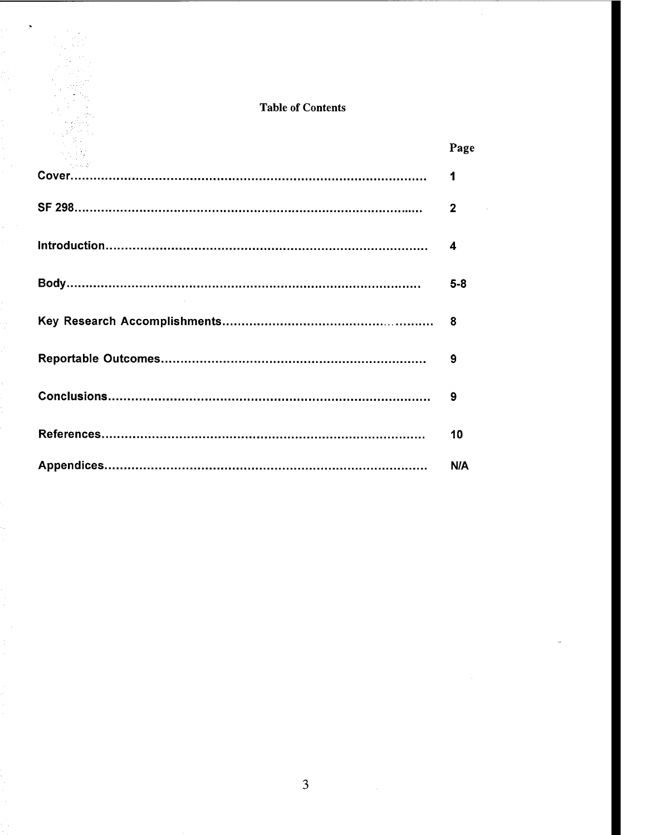# Table of Contents

| Page         |
|--------------|
| 1            |
| $\mathbf{2}$ |
| 4            |
| $5-8$        |
| 8            |
| 9            |
| 9            |
| 10           |
| N/A          |

 $\mu \rightarrow \mu$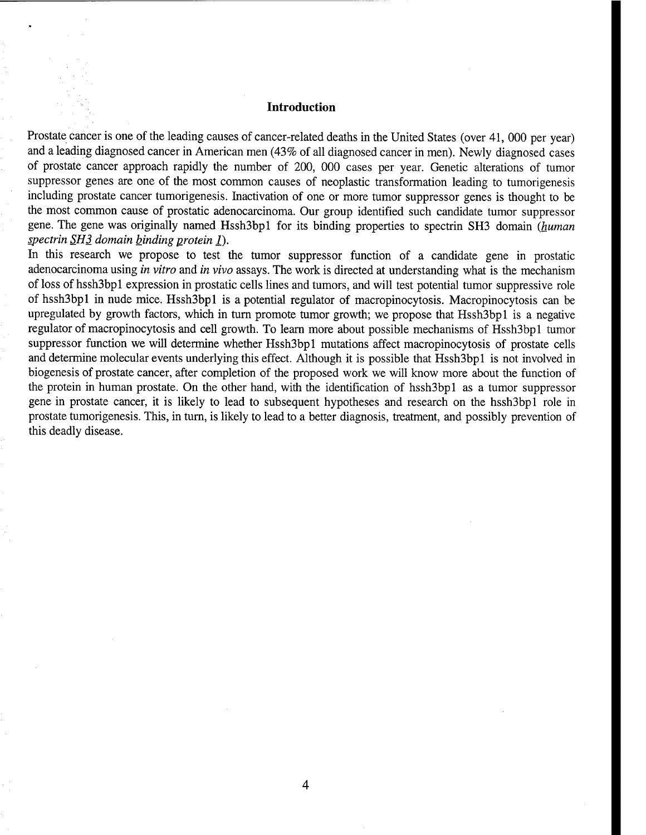## **Introduction**

Prostate cancer is one of the leading causes of cancer-related deaths in the United States (over 41, 000 per year) and a leading diagnosed cancer in American men (43% of all diagnosed cancer in men). Newly diagnosed cases of prostate cancer approach rapidly the number of 200, 000 cases per year. Genetic alterations of tumor suppressor genes are one of the most common causes of neoplastic transformation leading to tumorigenesis including prostate cancer tumorigenesis. Inactivation of one or more tumor suppressor genes is thought to be the most common cause of prostatic adenocarcinoma. Our group identified such candidate tumor suppressor gene. The gene was originally named HsshSbpl for its binding properties to spectrin SH3 domain *(human spectrin SH3 domain binding protein l*).

In this research we propose to test the tumor suppressor function of a candidate gene in prostatic adenocarcinoma using *in vitro* and *in vivo* assays. The work is directed at understanding what is the mechanism of loss of hsshSbpl expression in prostatic cells lines and tumors, and will test potential tumor suppressive role of hssh3bp1 in nude mice. Hssh3bp1 is a potential regulator of macropinocytosis. Macropinocytosis can be upregulated by growth factors, which in turn promote tumor growth; we propose that Hssh3bp1 is a negative regulator of macropinocytosis and cell growth. To learn more about possible mechanisms of Hssh3bp1 tumor suppressor function we will determine whether Hssh3bp1 mutations affect macropinocytosis of prostate cells and determine molecular events underlying this effect. Although it is possible that Hssh3bp1 is not involved in biogenesis of prostate cancer, after completion of the proposed work we will know more about the function of the protein in human prostate. On the other hand, with the identification of hsshSbpl as a tumor suppressor gene in prostate cancer, it is likely to lead to subsequent hypotheses and research on the hssh3bp1 role in prostate tumorigenesis. This, in tum, is likely to lead to a better diagnosis, treatment, and possibly prevention of this deadly disease.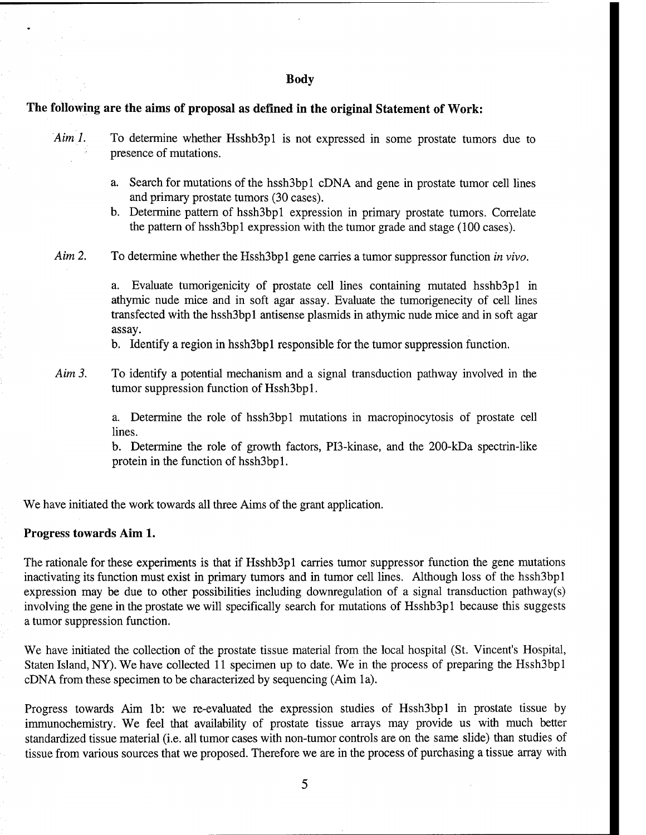#### **Body**

## **The following are the aims of proposal as defined in the original Statement of Work:**

*Aim 1.* To determine whether Hsshb3p1 is not expressed in some prostate tumors due to presence of mutations.

- a. Search for mutations of the hsshSbpl cDNA and gene in prostate tumor cell lines and primary prostate tumors (30 cases).
- b. Determine pattern of hsshSbpl expression in primary prostate tumors. Correlate the pattern of hsshSbpl expression with the tumor grade and stage (100 cases).

*Aim 2.* To determine whether the HsshSbpl gene carries a tumor suppressor function *in vivo.*

a. Evaluate tumorigenicity of prostate cell lines containing mutated hsshbSpl in athymic nude mice and in soft agar assay. Evaluate the tumorigenecity of cell lines transfected with the hsshSbpl antisense plasmids in athymic nude mice and in soft agar assay.

b. Identify a region in hsshSbpl responsible for the tumor suppression function.

*Aim 3.* To identify a potential mechanism and a signal transduction pathway involved in the tumor suppression function of Hssh3bp1.

> a. Determine the role of hsshSbpl mutations in macropinocytosis of prostate cell lines.

> b. Determine the role of growth factors, PIS-kinase, and the 200-kDa spectrin-like protein in the function of hssh3bp1.

We have initiated the work towards all three Aims of the grant application.

## **Progress towards Aim 1.**

The rationale for these experiments is that if Hsshb3p1 carries tumor suppressor function the gene mutations inactivating its function must exist in primary tumors and in tumor cell lines. Although loss of the hssh3bp1 expression may be due to other possibilities including downregulation of a signal transduction pathway(s) involving the gene in the prostate we will specifically search for mutations of HsshbSpl because this suggests a tumor suppression function.

We have initiated the collection of the prostate tissue material from the local hospital (St. Vincent's Hospital, Staten Island, NY). We have collected 11 specimen up to date. We in the process of preparing the HsshSbpl cDNA from these specimen to be characterized by sequencing (Aim la).

Progress towards Aim 1b: we re-evaluated the expression studies of Hssh3bp1 in prostate tissue by immunochemistry. We feel that availability of prostate tissue arrays may provide us with much better standardized tissue material (i.e. all tumor cases with non-tumor controls are on the same slide) than studies of tissue from various sources that we proposed. Therefore we are in the process of purchasing a tissue array with

5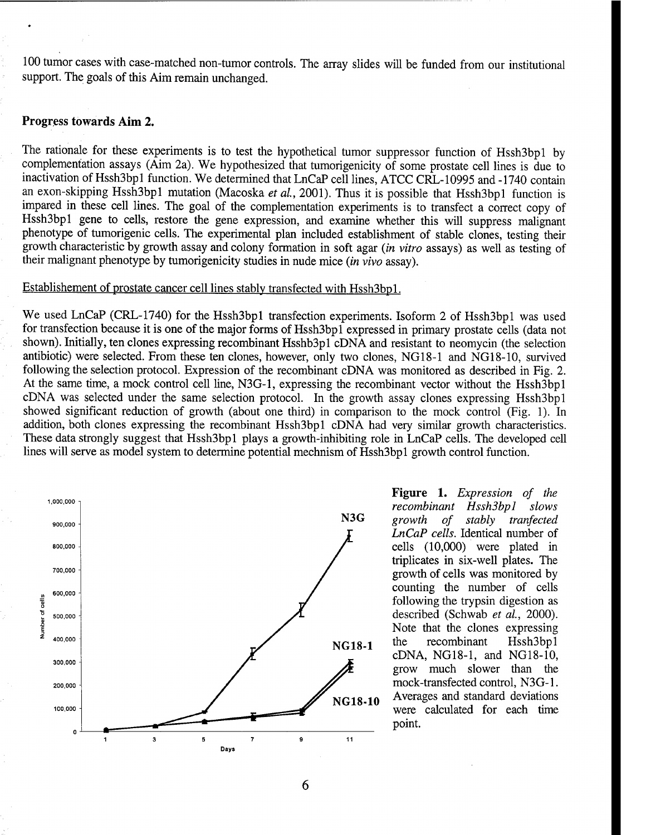100 tumor cases with case-matched non-tumor controls. The array slides will be funded from our institutional support. The goals of this Aim remain unchanged.

# **Progress towards Aim 2.**

The rationale for these experiments is to test the hypothetical tumor suppressor function of Hssh3bp1 by complementation assays (Aim 2a). We hypothesized that tumorigenicity of some prostate cell lines is due to inactivation of Hssh3bpl function. We determined that LnCaP cell lines, ATCC CRL-10995 and -1740 contain an exon-skipping Hssh3bp1 mutation (Macoska *et al.*, 2001). Thus it is possible that Hssh3bp1 function is impared in these cell lines. The goal of the complementation experiments is to transfect a correct copy of Hssh3bp1 gene to cells, restore the gene expression, and examine whether this will suppress malignant phenotype of tumorigenic cells. The experimental plan included establishment of stable clones, testing their growth characteristic by growth assay and colony formation in soft agar *{in vitro* assays) as well as testing of their malignant phenotype by tumorigenicity studies in nude mice *{in vivo* assay).

### Establishement of prostate cancer cell lines stably transfected with Hssh3bpl.

We used LnCaP (CRL-1740) for the Hssh3bp1 transfection experiments. Isoform 2 of Hssh3bp1 was used for transfection because it is one of the major forms of HsshSbpl expressed in primary prostate cells (data not shown). Initially, ten clones expressing recombinant Hsshb3p1 cDNA and resistant to neomycin (the selection antibiotic) were selected. From these ten clones, however, only two clones, NG18-1 and NG18-10, survived following the selection protocol. Expression of the recombinant cDNA was monitored as described in Fig. 2. At the same time, a mock control cell line, N3G-1, expressing the recombinant vector without the Hssh3bp1 cDNA was selected under the same selection protocol. In the growth assay clones expressing HsshSbpl showed significant reduction of growth (about one third) in comparison to the mock control (Fig. 1). In addition, both clones expressing the recombinant Hssh3bp1 cDNA had very similar growth characteristics. These data strongly suggest that HsshSbpl plays a growth-inhibiting role in LnCaP cells. The developed cell lines will serve as model system to determine potential mechnism of HsshSbpl growth control function.



**Figure 1.** *Expression of the recombinant HsshSbpl slows growth of stably tranfected LnCaP cells.* Identical number of cells (10,000) were plated in triplicates in six-well plates. The growth of cells was monitored by counting the number of cells following the trypsin digestion as described (Schwab *et al,* 2000). Note that the clones expressing the recombinant HsshSbpl cDNA, NG18-1, and NG18-10, grow much slower than the mock-transfected control, NSG-1. Averages and standard deviations were calculated for each time point.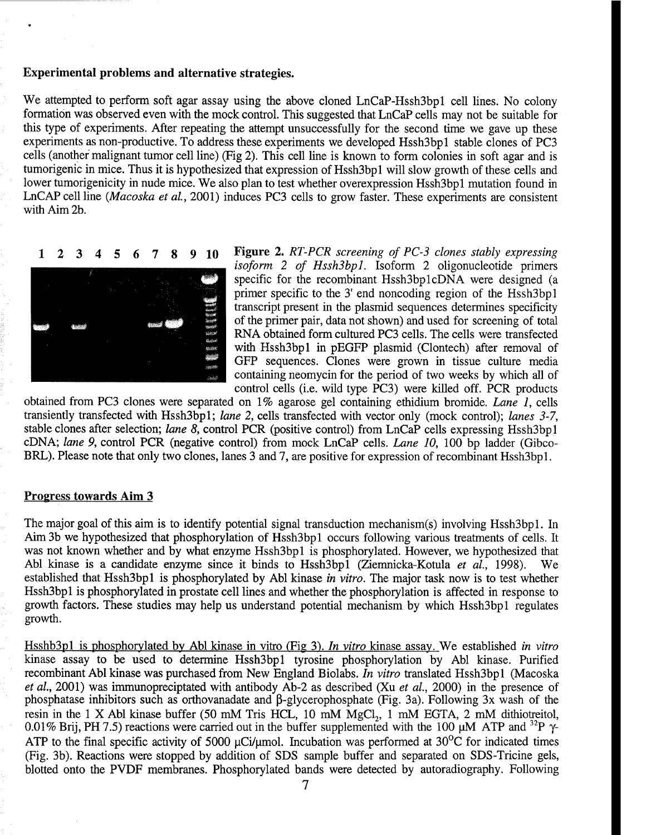# **Experimental problems and alternative strategies.**

We attempted to perform soft agar assay using the above cloned LnCaP-Hssh3bp1 cell lines. No colony formation was observed even with the mock control. This suggested that LnCaP cells may not be suitable for this type of experiments. After repeating the attempt unsuccessfully for the second time we gave up these experiments as non-productive. To address these experiments we developed HsshSbpl stable clones of PCS cells (another malignant tumor cell line) (Fig 2). This cell line is known to form colonies in soft agar and is tumorigenic in mice. Thus it is hypothesized that expression of HsshSbpl will slow growth of these cells and lower tumorigenicity in nude mice. We also plan to test whether overexpression Hssh3bpl mutation found in LnCAP cell line *(Macoska et al,* 2001) induces PC3 cells to grow faster. These experiments are consistent with Aim 2b.



**123456789 <sup>10</sup> Figure 2.** *RT-PCR screening of PC-3 clones stably expressing isoform 2 of HsshSbpl.* Isoform 2 oligonucleotide primers specific for the recombinant Hssh3bp1cDNA were designed (a primer specific to the 3' end noncoding region of the Hssh3bpl transcript present in the plasmid sequences determines specificity of the primer pair, data not shown) and used for screening of total RNA obtained form cultured PCS cells. The cells were transfected with Hssh3bp1 in pEGFP plasmid (Clontech) after removal of GFP sequences. Clones were grown in tissue culture media containing neomycin for the period of two weeks by which all of control cells (i.e. wild type PCS) were killed off. PCR products

obtained from PCS clones were separated on 1% agarose gel containing ethidium bromide. *Lane 1,* cells transientiy transfected with HsshSbpl; *lane 2,* cells transfected with vector only (mock control); *lanes 3-7,* stable clones after selection; *lane* 8, control PCR (positive control) from LnCaP cells expressing Hssh3bp1 cDNA; *lane 9,* control PCR (negative control) from mock LnCaP cells. *Lane 10,* 100 bp ladder (Gibco-BRL). Please note that only two clones, lanes 3 and 7, are positive for expression of recombinant Hssh3bp1.

# **Progress towards** Aim 3

The major goal of this aim is to identify potential signal transduction mechanism(s) involving Hssh3bp1. In Aim 3b we hypothesized that phosphorylation of Hssh3bp1 occurs following various treatments of cells. It was not known whether and by what enzyme Hssh3bp1 is phosphorylated. However, we hypothesized that Abl kinase is a candidate enzyme since it binds to HsshSbpl (Ziemnicka-Kotula *et al.,* 1998). We established that HsshSbpl is phosphorylated by Abl kinase *in vitro.* The major task now is to test whether Hssh3bp1 is phosphorylated in prostate cell lines and whether the phosphorylation is affected in response to growth factors. These studies may help us understand potential mechanism by which HsshSbpl regulates growth.

HsshbSpl is phosphorylated by Abl kinase in vitro (Fig 3). *In vitro* kinase assay. We established *in vitro* kinase assay to be used to determine HsshSbpl tyrosine phosphorylation by Abl kinase. Purified recombinant Abl kinase was purchased from New England Biolabs. *In vitro* translated HsshSbpl (Macoska *et al,* 2001) was immunopreciptated with antibody Ab-2 as described (Xu *et al,* 2000) in the presence of phosphatase inhibitors such as orthovanadate and  $\beta$ -glycerophosphate (Fig. 3a). Following 3x wash of the resin in the 1 X Abl kinase buffer (50 mM Tris HCL, 10 mM  $MgCl<sub>2</sub>$ , 1 mM EGTA, 2 mM dithiotreitol, 0.01% Brij, PH 7.5) reactions were carried out in the buffer supplemented with the 100  $\mu$ M ATP and <sup>32</sup>P  $\gamma$ -ATP to the final specific activity of 5000  $\mu$ Ci/ $\mu$ mol. Incubation was performed at 30<sup>o</sup>C for indicated times (Fig. Sb). Reactions were stopped by addition of SDS sample buffer and separated on SDS-Tricine gels, blotted onto the PVDF membranes. Phosphorylated bands were detected by autoradiography. Following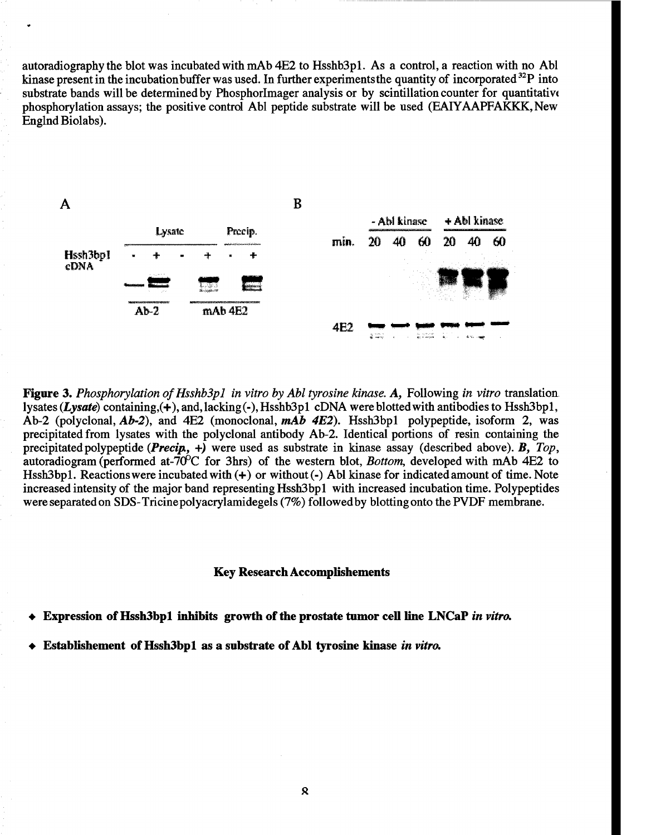autoradiography the blot was incubated with mAb 4E2 to HsshbSpl. As a control, a reaction with no Abl kinase present in the incubation buffer was used. In further experiments the quantity of incorporated  $^{32}P$  into substrate bands will be determined by Phosphorlmager analysis or by scintillation counter for quantitative phosphorylation assays; the positive control Abl peptide substrate will be used (EAIYAAPFAKKK, New Englnd Biolabs).



**Figure 3.** Phosphorylation of Hsshb3pl in vitro by Abl tyrosine kinase. A, Following in vitro translation. lysates (Lysate) containing, (+), and, lacking (-), Hsshb3pl cDNA were blotted with antibodies to Hssh3bp1, Ab-2 (polyclonal, *Ab-2),* and 4E2 (monoclonal, *mAb 4E2).* HsshSbpl polypeptide, isoform 2, was precipitated from lysates with the polyclonal antibody Ab-2. Identical portions of resin containing the precipitated polypeptide *{Precip.,* +) were used as substrate in kinase assay (described above). *B, Top,* autoradiogram (performed at-70<sup>o</sup>C for 3hrs) of the western blot, *Bottom*, developed with mAb 4E2 to HsshSbpl. Reactionswere incubated with (+) or without (-) Abl kinase for indicated amount of time. Note increased intensity of the major band representing HsshSbpl with increased incubation time. Polypeptides were separated on SDS-Tricine polyacrylamidegels (7%) followed by blotting onto the PVDF membrane.

#### **Key Research Accomplishements**

**Expression ofHssh3bpl inhibits growth ofthe prostate tumor cell line LNCaP** *in vitro.*

**Establishement ofHsshSbpl as a substrate of Abl tyrosine kinase** *in vitro.*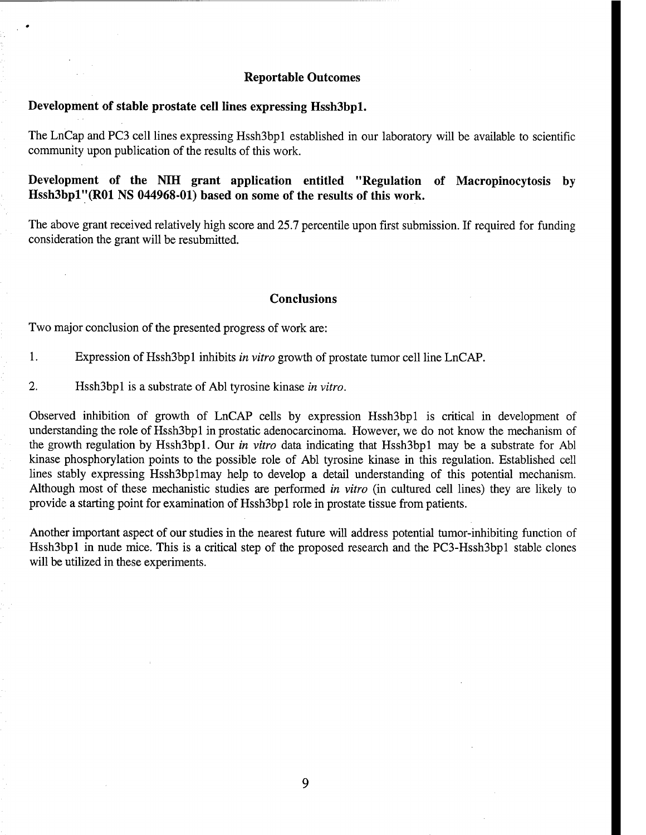## **Reportable Outcomes**

# **Development of stable prostate cell lines expressing Hssh3bpl.**

The LnCap and PCS cell lines expressing HsshSbpl established in our laboratory will be available to scientific community upon publication of the results of this work.

**Development of the NIH grant application entitled "Regulation of Macropinocytosis by Hssh3bpl"(R01 NS 044968-01) based on some of the results of this work.**

The above grant received relatively high score and 25.7 percentile upon first submission. If required for funding consideration the grant will be resubmitted.

## **Conclusions**

Two major conclusion of the presented progress of work are:

- 1. Expression of HsshSbpl inhibits *in vitro* growth of prostate tumor cell line LnCAP.
- 2. Hssh3bpl is a substrate of Abl tyrosine kinase *in vitro.*

Observed inhibition of growth of LnCAP cells by expression Hssh3bp1 is critical in development of understanding the role of HsshSbpl in prostatic adenocarcinoma. However, we do not know the mechanism of the growth regulation by HsshSbpl. Our *in vitro* data indicating that HsshSbpl may be a substrate for Abl kinase phosphorylation points to the possible role of Abl tyrosine kinase in this regulation. Established cell lines stably expressing Hssh3bp1may help to develop a detail understanding of this potential mechanism. Although most of these mechanistic studies are performed *in vitro* (in cultured cell lines) they are likely to provide a starting point for examination of HsshSbpl role in prostate tissue from patients.

Another important aspect of our studies in the nearest future will address potential tumor-inhibiting function of Hssh3bp1 in nude mice. This is a critical step of the proposed research and the PC3-Hssh3bp1 stable clones will be utilized in these experiments.